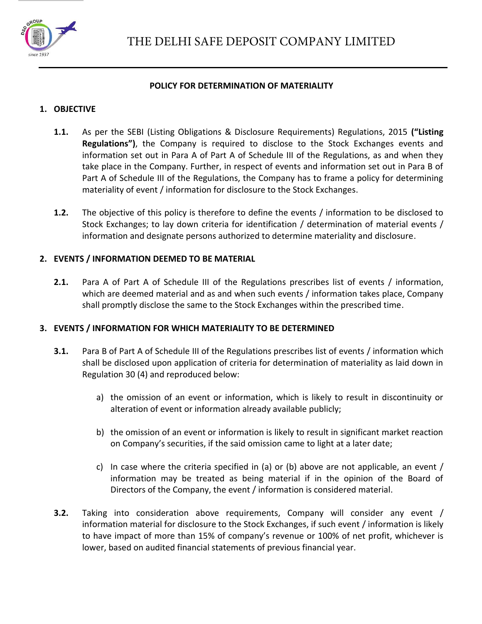

#### **POLICY FOR DETERMINATION OF MATERIALITY**

# **1. OBJECTIVE**

- **1.1.** As per the SEBI (Listing Obligations & Disclosure Requirements) Regulations, 2015 **("Listing Regulations")**, the Company is required to disclose to the Stock Exchanges events and information set out in Para A of Part A of Schedule III of the Regulations, as and when they take place in the Company. Further, in respect of events and information set out in Para B of Part A of Schedule III of the Regulations, the Company has to frame a policy for determining materiality of event / information for disclosure to the Stock Exchanges.
- **1.2.** The objective of this policy is therefore to define the events / information to be disclosed to Stock Exchanges; to lay down criteria for identification / determination of material events / information and designate persons authorized to determine materiality and disclosure.

# **2. EVENTS / INFORMATION DEEMED TO BE MATERIAL**

**2.1.** Para A of Part A of Schedule III of the Regulations prescribes list of events / information, which are deemed material and as and when such events / information takes place, Company shall promptly disclose the same to the Stock Exchanges within the prescribed time.

### **3. EVENTS / INFORMATION FOR WHICH MATERIALITY TO BE DETERMINED**

- **3.1.** Para B of Part A of Schedule III of the Regulations prescribes list of events / information which shall be disclosed upon application of criteria for determination of materiality as laid down in Regulation 30 (4) and reproduced below:
	- a) the omission of an event or information, which is likely to result in discontinuity or alteration of event or information already available publicly;
	- b) the omission of an event or information is likely to result in significant market reaction on Company's securities, if the said omission came to light at a later date;
	- c) In case where the criteria specified in (a) or (b) above are not applicable, an event / information may be treated as being material if in the opinion of the Board of Directors of the Company, the event / information is considered material.
- **3.2.** Taking into consideration above requirements, Company will consider any event / information material for disclosure to the Stock Exchanges, if such event / information is likely to have impact of more than 15% of company's revenue or 100% of net profit, whichever is lower, based on audited financial statements of previous financial year.